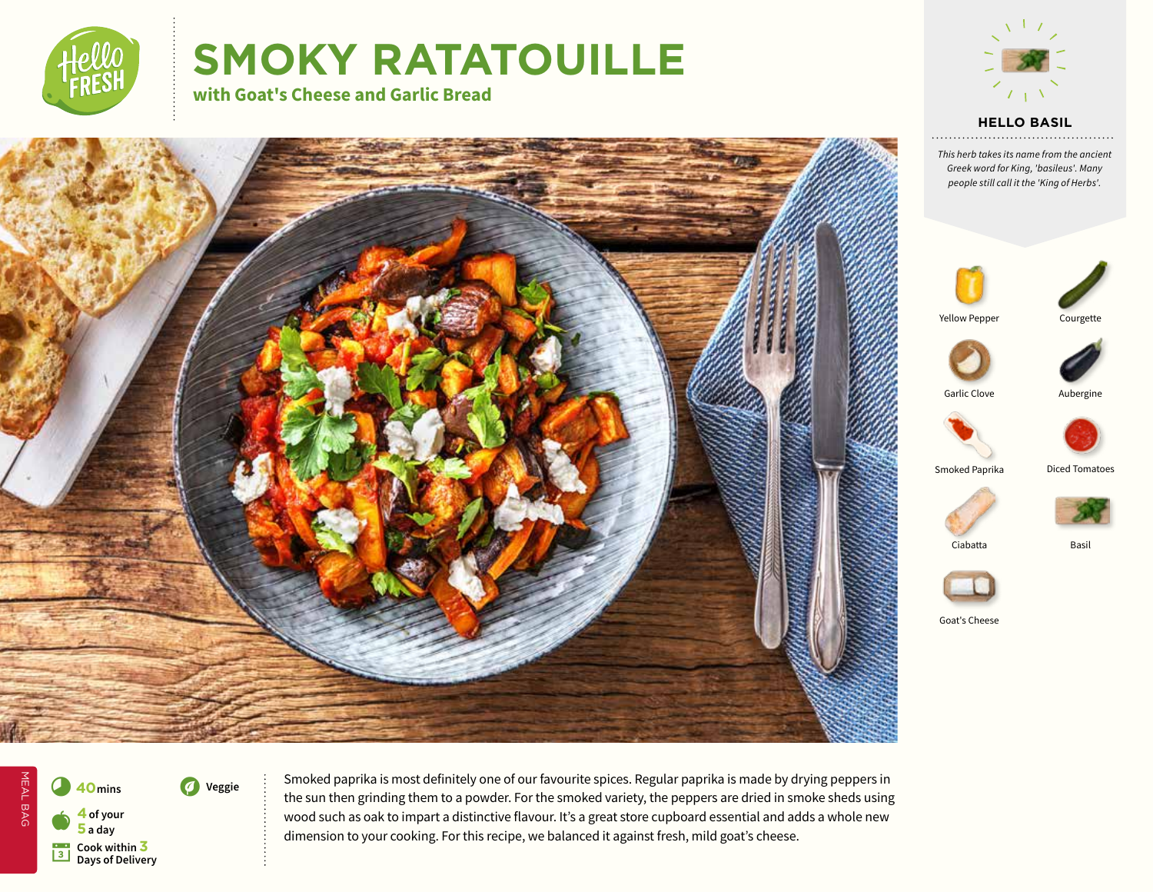

# **SMOKY RATATOUILLE**

**with Goat's Cheese and Garlic Bread**



**HELLO BASIL**

*This herb takes its name from the ancient Greek word for King, 'basileus'. Many people still call it the 'King of Herbs'.*





Yellow Pepper





Courgette

Garlic Clove **Aubergine** 





Smoked Paprika Diced Tomatoes







Ciabatta Basil



Goat's Cheese



MEAL BAG MEAL BAG **40** mins **19** Veggie a **<sup>4</sup> of your 5 a day B** Cook within **3**<br>Davs of Deliver **Days of Delivery**

Smoked paprika is most definitely one of our favourite spices. Regular paprika is made by drying peppers in the sun then grinding them to a powder. For the smoked variety, the peppers are dried in smoke sheds using wood such as oak to impart a distinctive flavour. It's a great store cupboard essential and adds a whole new dimension to your cooking. For this recipe, we balanced it against fresh, mild goat's cheese.